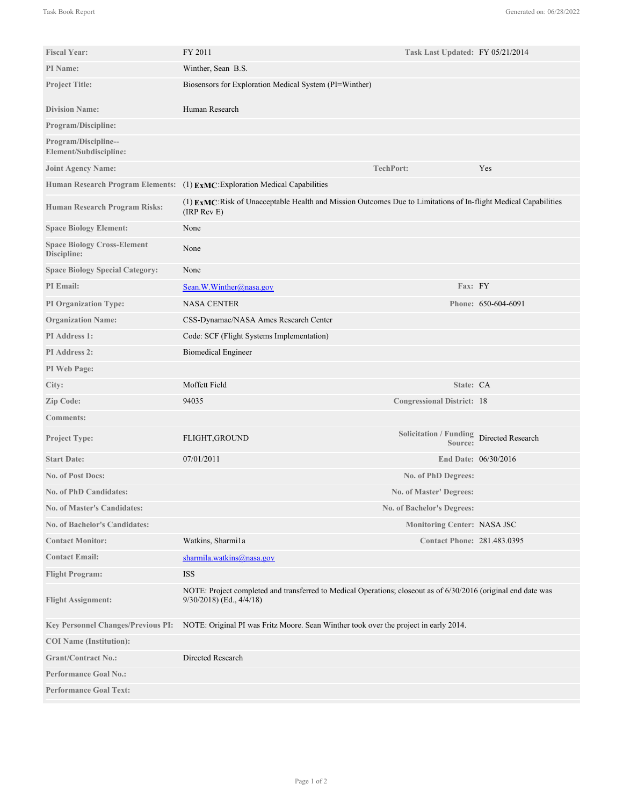| <b>Fiscal Year:</b>                               | FY 2011                                                                                                                                        |                     | Task Last Updated: FY 05/21/2014         |  |
|---------------------------------------------------|------------------------------------------------------------------------------------------------------------------------------------------------|---------------------|------------------------------------------|--|
| PI Name:                                          | Winther, Sean B.S.                                                                                                                             |                     |                                          |  |
| <b>Project Title:</b>                             | Biosensors for Exploration Medical System (PI=Winther)                                                                                         |                     |                                          |  |
|                                                   |                                                                                                                                                |                     |                                          |  |
| <b>Division Name:</b>                             | Human Research                                                                                                                                 |                     |                                          |  |
| <b>Program/Discipline:</b>                        |                                                                                                                                                |                     |                                          |  |
| Program/Discipline--<br>Element/Subdiscipline:    |                                                                                                                                                |                     |                                          |  |
| <b>Joint Agency Name:</b>                         | <b>TechPort:</b>                                                                                                                               |                     | Yes                                      |  |
|                                                   | Human Research Program Elements: (1) ExMC: Exploration Medical Capabilities                                                                    |                     |                                          |  |
| Human Research Program Risks:                     | (1) EXMC:Risk of Unacceptable Health and Mission Outcomes Due to Limitations of In-flight Medical Capabilities<br>(IRP Rev E)                  |                     |                                          |  |
| <b>Space Biology Element:</b>                     | None                                                                                                                                           |                     |                                          |  |
| <b>Space Biology Cross-Element</b><br>Discipline: | None                                                                                                                                           |                     |                                          |  |
| <b>Space Biology Special Category:</b>            | None                                                                                                                                           |                     |                                          |  |
| PI Email:                                         | Sean. W. Winther@nasa.gov                                                                                                                      | Fax: FY             |                                          |  |
| <b>PI Organization Type:</b>                      | <b>NASA CENTER</b>                                                                                                                             |                     | Phone: 650-604-6091                      |  |
| <b>Organization Name:</b>                         | CSS-Dynamac/NASA Ames Research Center                                                                                                          |                     |                                          |  |
| PI Address 1:                                     | Code: SCF (Flight Systems Implementation)                                                                                                      |                     |                                          |  |
| <b>PI</b> Address 2:                              | <b>Biomedical Engineer</b>                                                                                                                     |                     |                                          |  |
| PI Web Page:                                      |                                                                                                                                                |                     |                                          |  |
| City:                                             | Moffett Field                                                                                                                                  | State: CA           |                                          |  |
| <b>Zip Code:</b>                                  | 94035<br><b>Congressional District: 18</b>                                                                                                     |                     |                                          |  |
| <b>Comments:</b>                                  |                                                                                                                                                |                     |                                          |  |
| <b>Project Type:</b>                              | FLIGHT, GROUND                                                                                                                                 | Source:             | Solicitation / Funding Directed Research |  |
| <b>Start Date:</b>                                | 07/01/2011                                                                                                                                     |                     | End Date: 06/30/2016                     |  |
| <b>No. of Post Docs:</b>                          |                                                                                                                                                | No. of PhD Degrees: |                                          |  |
| <b>No. of PhD Candidates:</b>                     | <b>No. of Master' Degrees:</b>                                                                                                                 |                     |                                          |  |
| <b>No. of Master's Candidates:</b>                | No. of Bachelor's Degrees:                                                                                                                     |                     |                                          |  |
| <b>No. of Bachelor's Candidates:</b>              |                                                                                                                                                |                     | <b>Monitoring Center: NASA JSC</b>       |  |
| <b>Contact Monitor:</b>                           | Watkins, Sharmi1a                                                                                                                              |                     | <b>Contact Phone: 281.483.0395</b>       |  |
| <b>Contact Email:</b>                             | sharmila.watkins@nasa.gov                                                                                                                      |                     |                                          |  |
| <b>Flight Program:</b>                            | <b>ISS</b>                                                                                                                                     |                     |                                          |  |
| <b>Flight Assignment:</b>                         | NOTE: Project completed and transferred to Medical Operations; closeout as of 6/30/2016 (original end date was<br>$9/30/2018$ (Ed., $4/4/18$ ) |                     |                                          |  |
| <b>Key Personnel Changes/Previous PI:</b>         | NOTE: Original PI was Fritz Moore. Sean Winther took over the project in early 2014.                                                           |                     |                                          |  |
| <b>COI</b> Name (Institution):                    |                                                                                                                                                |                     |                                          |  |
| <b>Grant/Contract No.:</b>                        | Directed Research                                                                                                                              |                     |                                          |  |
| <b>Performance Goal No.:</b>                      |                                                                                                                                                |                     |                                          |  |
| <b>Performance Goal Text:</b>                     |                                                                                                                                                |                     |                                          |  |

NOTE: Original PI was Fritz Moore. Sean Winther took over the project in early 2014.